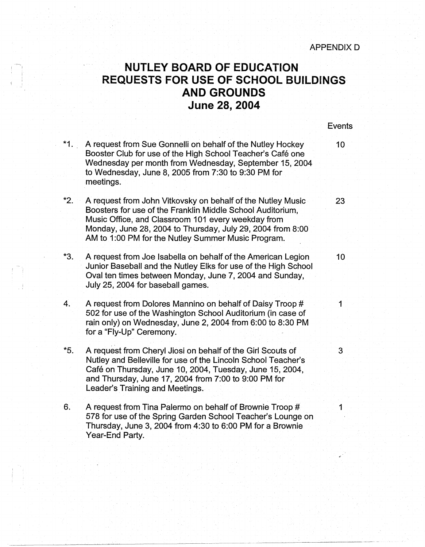## **NUTLEY BOARD OF EDUCATION REQUESTS FOR USE OF SCHOOL BUILDINGS AND GROUNDS June 28, 2004**

'

| $*1.$ | A request from Sue Gonnelli on behalf of the Nutley Hockey<br>Booster Club for use of the High School Teacher's Café one<br>Wednesday per month from Wednesday, September 15, 2004<br>to Wednesday, June 8, 2005 from 7:30 to 9:30 PM for<br>meetings.                                              | 10 <sub>1</sub> |
|-------|-----------------------------------------------------------------------------------------------------------------------------------------------------------------------------------------------------------------------------------------------------------------------------------------------------|-----------------|
| $*2.$ | A request from John Vitkovsky on behalf of the Nutley Music<br>Boosters for use of the Franklin Middle School Auditorium,<br>Music Office, and Classroom 101 every weekday from<br>Monday, June 28, 2004 to Thursday, July 29, 2004 from 8:00<br>AM to 1:00 PM for the Nutley Summer Music Program. | 23              |
| *3.   | A request from Joe Isabella on behalf of the American Legion<br>Junior Baseball and the Nutley Elks for use of the High School<br>Oval ten times between Monday, June 7, 2004 and Sunday,<br>July 25, 2004 for baseball games.                                                                      | 10 <sub>1</sub> |
| 4.    | A request from Dolores Mannino on behalf of Daisy Troop #<br>502 for use of the Washington School Auditorium (in case of<br>rain only) on Wednesday, June 2, 2004 from 6:00 to 8:30 PM<br>for a "Fly-Up" Ceremony.                                                                                  | $\mathbf{1}$    |
| $*5.$ | A request from Cheryl Jiosi on behalf of the Girl Scouts of<br>Nutley and Belleville for use of the Lincoln School Teacher's<br>Café on Thursday, June 10, 2004, Tuesday, June 15, 2004,<br>and Thursday, June 17, 2004 from 7:00 to 9:00 PM for<br>Leader's Training and Meetings.                 | 3               |
| 6.    | A request from Tina Palermo on behalf of Brownie Troop #<br>578 for use of the Spring Garden School Teacher's Lounge on<br>Thursday, June 3, 2004 from 4:30 to 6:00 PM for a Brownie<br>Year-End Party.                                                                                             | $\mathbf 1$     |
|       |                                                                                                                                                                                                                                                                                                     |                 |

Events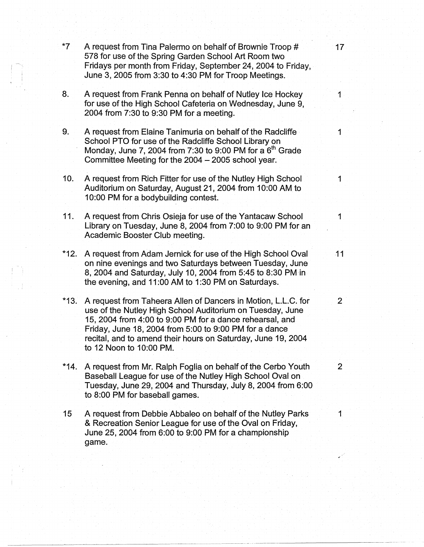| $*7$   | A request from Tina Palermo on behalf of Brownie Troop #<br>578 for use of the Spring Garden School Art Room two<br>Fridays per month from Friday, September 24, 2004 to Friday,<br>June 3, 2005 from 3:30 to 4:30 PM for Troop Meetings.                                                                                                   | 17 <sub>1</sub> |
|--------|---------------------------------------------------------------------------------------------------------------------------------------------------------------------------------------------------------------------------------------------------------------------------------------------------------------------------------------------|-----------------|
| 8.     | A request from Frank Penna on behalf of Nutley Ice Hockey<br>for use of the High School Cafeteria on Wednesday, June 9,<br>2004 from 7:30 to 9:30 PM for a meeting.                                                                                                                                                                         |                 |
| 9.     | A request from Elaine Tanimuria on behalf of the Radcliffe<br>School PTO for use of the Radcliffe School Library on<br>Monday, June 7, 2004 from 7:30 to 9:00 PM for a $6th$ Grade<br>Committee Meeting for the 2004 - 2005 school year.                                                                                                    | 1               |
| 10.    | A request from Rich Fitter for use of the Nutley High School<br>Auditorium on Saturday, August 21, 2004 from 10:00 AM to<br>10:00 PM for a bodybuilding contest.                                                                                                                                                                            |                 |
| 11.    | A request from Chris Osieja for use of the Yantacaw School<br>Library on Tuesday, June 8, 2004 from 7:00 to 9:00 PM for an<br>Academic Booster Club meeting.                                                                                                                                                                                | 1               |
| $*12.$ | A request from Adam Jernick for use of the High School Oval<br>on nine evenings and two Saturdays between Tuesday, June<br>8, 2004 and Saturday, July 10, 2004 from 5:45 to 8:30 PM in<br>the evening, and 11:00 AM to 1:30 PM on Saturdays.                                                                                                | 11              |
| $*13.$ | A request from Taheera Allen of Dancers in Motion, L.L.C. for<br>use of the Nutley High School Auditorium on Tuesday, June<br>15, 2004 from 4:00 to 9:00 PM for a dance rehearsal, and<br>Friday, June 18, 2004 from 5:00 to 9:00 PM for a dance<br>recital, and to amend their hours on Saturday, June 19, 2004<br>to 12 Noon to 10:00 PM. | $\overline{2}$  |
| $*14.$ | A request from Mr. Ralph Foglia on behalf of the Cerbo Youth<br>Baseball League for use of the Nutley High School Oval on<br>Tuesday, June 29, 2004 and Thursday, July 8, 2004 from 6:00<br>to 8:00 PM for baseball games.                                                                                                                  | $\overline{2}$  |
| 15     | A request from Debbie Abbaleo on behalf of the Nutley Parks<br>& Recreation Senior League for use of the Oval on Friday,<br>June 25, 2004 from 6:00 to 9:00 PM for a championship<br>game.                                                                                                                                                  |                 |
|        |                                                                                                                                                                                                                                                                                                                                             |                 |

---------~·~~~~~--~---·---~----~---------- ------ - - --------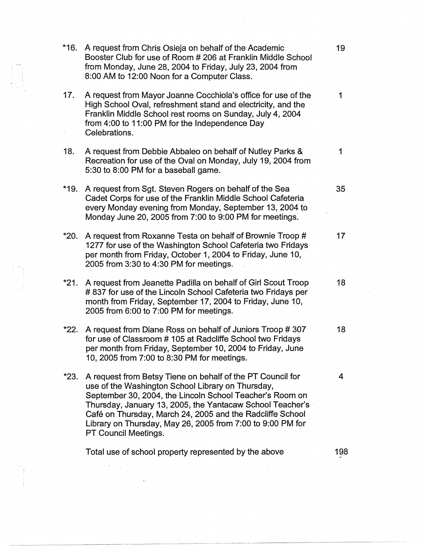| $*16.$ | A request from Chris Osieja on behalf of the Academic<br>Booster Club for use of Room # 206 at Franklin Middle School<br>from Monday, June 28, 2004 to Friday, July 23, 2004 from<br>8:00 AM to 12:00 Noon for a Computer Class.                                                                                                                                                            | 19  |
|--------|---------------------------------------------------------------------------------------------------------------------------------------------------------------------------------------------------------------------------------------------------------------------------------------------------------------------------------------------------------------------------------------------|-----|
| 17.    | A request from Mayor Joanne Cocchiola's office for use of the<br>High School Oval, refreshment stand and electricity, and the<br>Franklin Middle School rest rooms on Sunday, July 4, 2004<br>from 4:00 to 11:00 PM for the Independence Day<br>Celebrations.                                                                                                                               | 1   |
| 18.    | A request from Debbie Abbaleo on behalf of Nutley Parks &<br>Recreation for use of the Oval on Monday, July 19, 2004 from<br>5:30 to 8:00 PM for a baseball game.                                                                                                                                                                                                                           |     |
| $*19.$ | A request from Sgt. Steven Rogers on behalf of the Sea<br>Cadet Corps for use of the Franklin Middle School Cafeteria<br>every Monday evening from Monday, September 13, 2004 to<br>Monday June 20, 2005 from 7:00 to 9:00 PM for meetings.                                                                                                                                                 | 35  |
| *20.   | A request from Roxanne Testa on behalf of Brownie Troop #<br>1277 for use of the Washington School Cafeteria two Fridays<br>per month from Friday, October 1, 2004 to Friday, June 10,<br>2005 from 3:30 to 4:30 PM for meetings.                                                                                                                                                           | 17  |
| $*21.$ | A request from Jeanette Padilla on behalf of Girl Scout Troop<br>#837 for use of the Lincoln School Cafeteria two Fridays per<br>month from Friday, September 17, 2004 to Friday, June 10,<br>2005 from 6:00 to 7:00 PM for meetings.                                                                                                                                                       | 18  |
| *22.   | A request from Diane Ross on behalf of Juniors Troop #307<br>for use of Classroom #105 at Radcliffe School two Fridays<br>per month from Friday, September 10, 2004 to Friday, June<br>10, 2005 from 7:00 to 8:30 PM for meetings.                                                                                                                                                          | 18  |
| $*23.$ | A request from Betsy Tiene on behalf of the PT Council for<br>use of the Washington School Library on Thursday,<br>September 30, 2004, the Lincoln School Teacher's Room on<br>Thursday, January 13, 2005, the Yantacaw School Teacher's<br>Café on Thursday, March 24, 2005 and the Radcliffe School<br>Library on Thursday, May 26, 2005 from 7:00 to 9:00 PM for<br>PT Council Meetings. | 4   |
|        | Total use of school property represented by the above                                                                                                                                                                                                                                                                                                                                       | 198 |

------·-··--···- ----------------------~